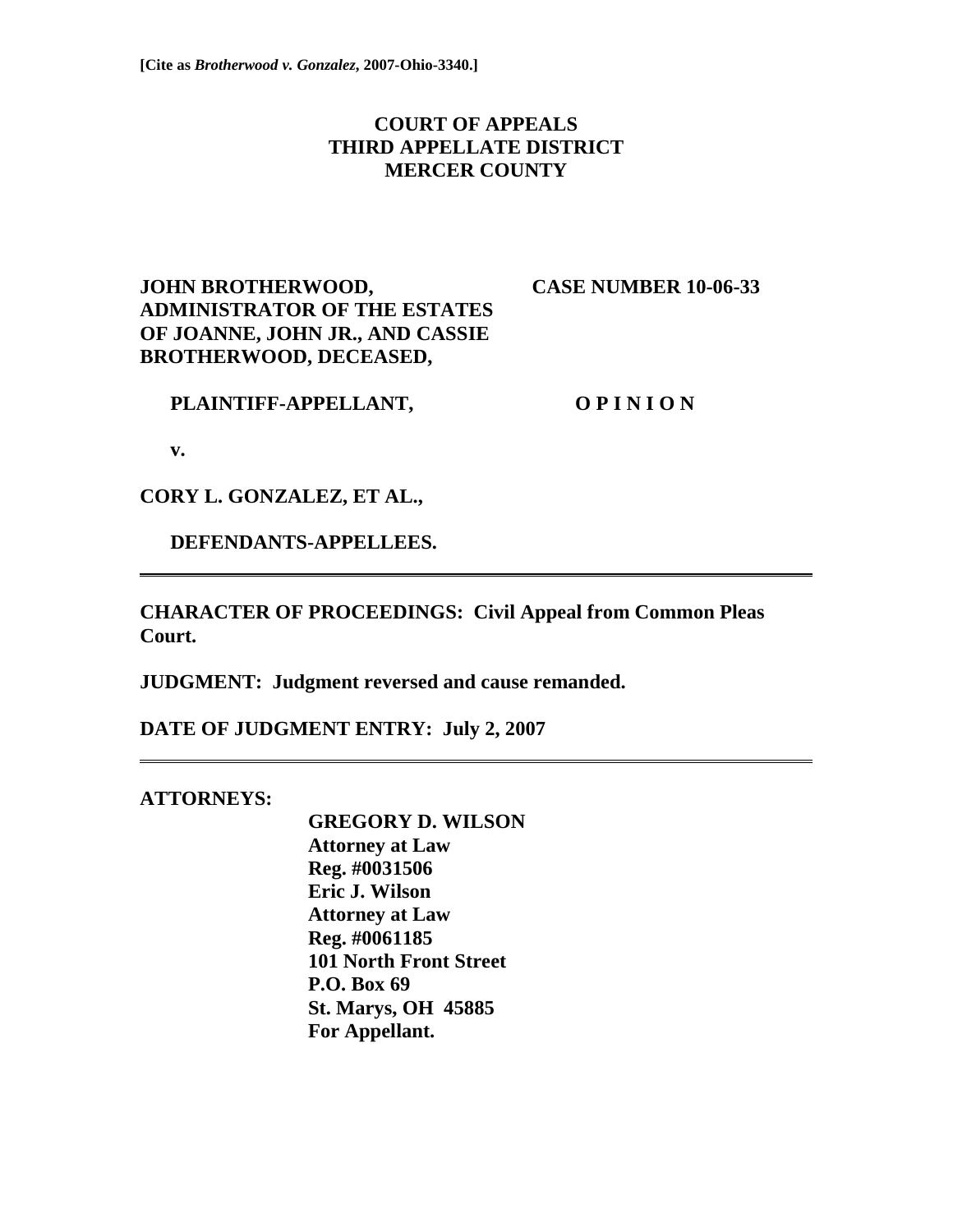# **COURT OF APPEALS THIRD APPELLATE DISTRICT MERCER COUNTY**

# **JOHN BROTHERWOOD, CASE NUMBER 10-06-33 ADMINISTRATOR OF THE ESTATES OF JOANNE, JOHN JR., AND CASSIE BROTHERWOOD, DECEASED,**

**PLAINTIFF-APPELLANT, O P I N I O N** 

 **v.** 

**CORY L. GONZALEZ, ET AL.,** 

 **DEFENDANTS-APPELLEES.** 

**CHARACTER OF PROCEEDINGS: Civil Appeal from Common Pleas Court.** 

**JUDGMENT: Judgment reversed and cause remanded.** 

**DATE OF JUDGMENT ENTRY: July 2, 2007** 

## **ATTORNEYS:**

 **GREGORY D. WILSON Attorney at Law Reg. #0031506 Eric J. Wilson Attorney at Law Reg. #0061185 101 North Front Street P.O. Box 69 St. Marys, OH 45885 For Appellant.**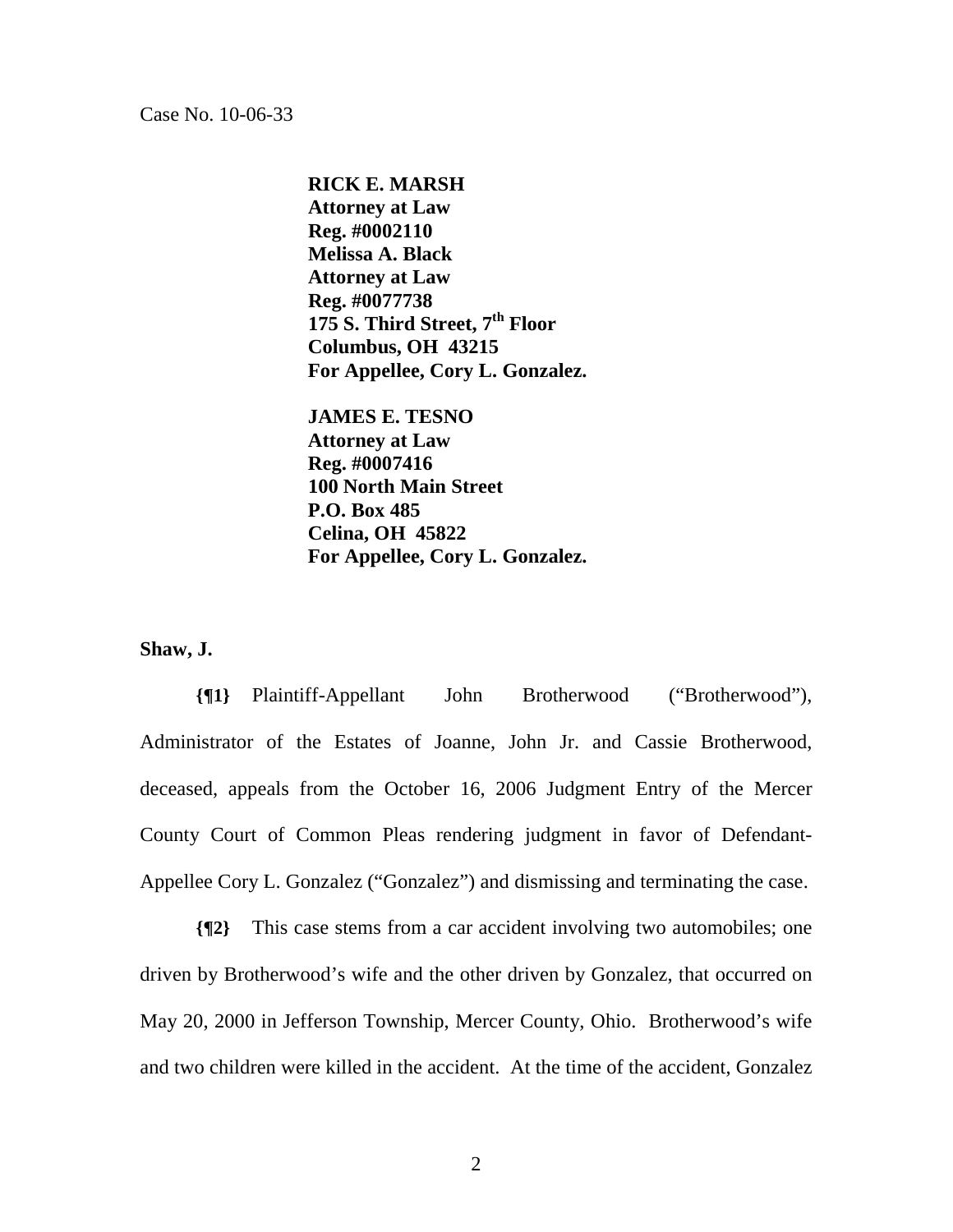Case No. 10-06-33

**RICK E. MARSH Attorney at Law Reg. #0002110 Melissa A. Black Attorney at Law Reg. #0077738 175 S. Third Street, 7th Floor Columbus, OH 43215 For Appellee, Cory L. Gonzalez.** 

 **JAMES E. TESNO Attorney at Law Reg. #0007416 100 North Main Street P.O. Box 485 Celina, OH 45822 For Appellee, Cory L. Gonzalez.** 

#### **Shaw, J.**

**{¶1}** Plaintiff-Appellant John Brotherwood ("Brotherwood"), Administrator of the Estates of Joanne, John Jr. and Cassie Brotherwood, deceased, appeals from the October 16, 2006 Judgment Entry of the Mercer County Court of Common Pleas rendering judgment in favor of Defendant-Appellee Cory L. Gonzalez ("Gonzalez") and dismissing and terminating the case.

**{¶2}** This case stems from a car accident involving two automobiles; one driven by Brotherwood's wife and the other driven by Gonzalez, that occurred on May 20, 2000 in Jefferson Township, Mercer County, Ohio. Brotherwood's wife and two children were killed in the accident. At the time of the accident, Gonzalez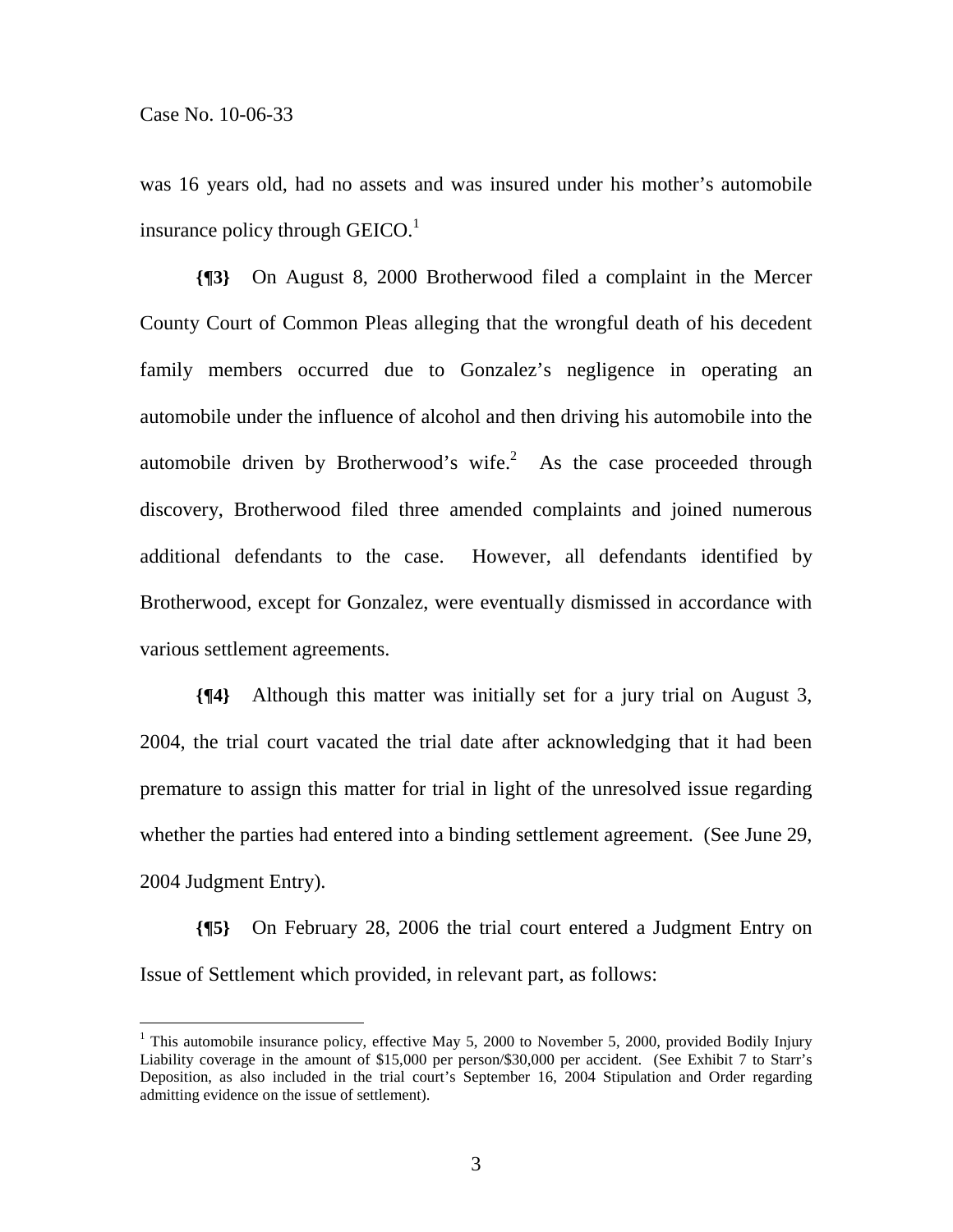$\overline{a}$ 

was 16 years old, had no assets and was insured under his mother's automobile insurance policy through GEICO. $<sup>1</sup>$ </sup>

**{¶3}** On August 8, 2000 Brotherwood filed a complaint in the Mercer County Court of Common Pleas alleging that the wrongful death of his decedent family members occurred due to Gonzalez's negligence in operating an automobile under the influence of alcohol and then driving his automobile into the automobile driven by Brotherwood's wife.<sup>2</sup> As the case proceeded through discovery, Brotherwood filed three amended complaints and joined numerous additional defendants to the case. However, all defendants identified by Brotherwood, except for Gonzalez, were eventually dismissed in accordance with various settlement agreements.

**{¶4}** Although this matter was initially set for a jury trial on August 3, 2004, the trial court vacated the trial date after acknowledging that it had been premature to assign this matter for trial in light of the unresolved issue regarding whether the parties had entered into a binding settlement agreement. (See June 29, 2004 Judgment Entry).

**{¶5}** On February 28, 2006 the trial court entered a Judgment Entry on Issue of Settlement which provided, in relevant part, as follows:

<sup>&</sup>lt;sup>1</sup> This automobile insurance policy, effective May 5, 2000 to November 5, 2000, provided Bodily Injury Liability coverage in the amount of \$15,000 per person/\$30,000 per accident. (See Exhibit 7 to Starr's Deposition, as also included in the trial court's September 16, 2004 Stipulation and Order regarding admitting evidence on the issue of settlement).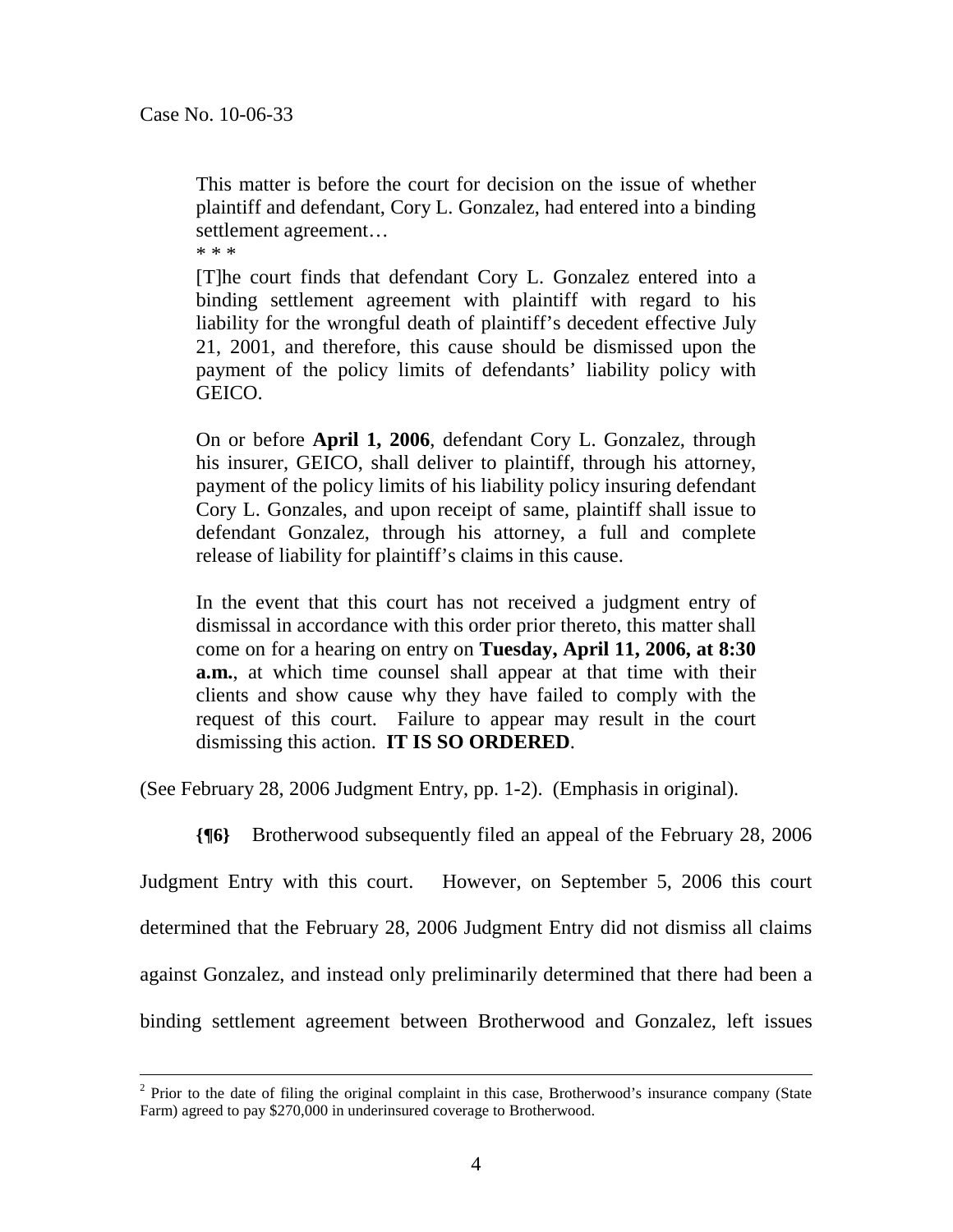This matter is before the court for decision on the issue of whether plaintiff and defendant, Cory L. Gonzalez, had entered into a binding settlement agreement…

\* \* \*

[T]he court finds that defendant Cory L. Gonzalez entered into a binding settlement agreement with plaintiff with regard to his liability for the wrongful death of plaintiff's decedent effective July 21, 2001, and therefore, this cause should be dismissed upon the payment of the policy limits of defendants' liability policy with GEICO.

On or before **April 1, 2006**, defendant Cory L. Gonzalez, through his insurer, GEICO, shall deliver to plaintiff, through his attorney, payment of the policy limits of his liability policy insuring defendant Cory L. Gonzales, and upon receipt of same, plaintiff shall issue to defendant Gonzalez, through his attorney, a full and complete release of liability for plaintiff's claims in this cause.

In the event that this court has not received a judgment entry of dismissal in accordance with this order prior thereto, this matter shall come on for a hearing on entry on **Tuesday, April 11, 2006, at 8:30 a.m.**, at which time counsel shall appear at that time with their clients and show cause why they have failed to comply with the request of this court. Failure to appear may result in the court dismissing this action. **IT IS SO ORDERED**.

(See February 28, 2006 Judgment Entry, pp. 1-2). (Emphasis in original).

**{¶6}** Brotherwood subsequently filed an appeal of the February 28, 2006

Judgment Entry with this court. However, on September 5, 2006 this court determined that the February 28, 2006 Judgment Entry did not dismiss all claims against Gonzalez, and instead only preliminarily determined that there had been a binding settlement agreement between Brotherwood and Gonzalez, left issues

 $\frac{1}{2}$  $2$  Prior to the date of filing the original complaint in this case, Brotherwood's insurance company (State Farm) agreed to pay \$270,000 in underinsured coverage to Brotherwood.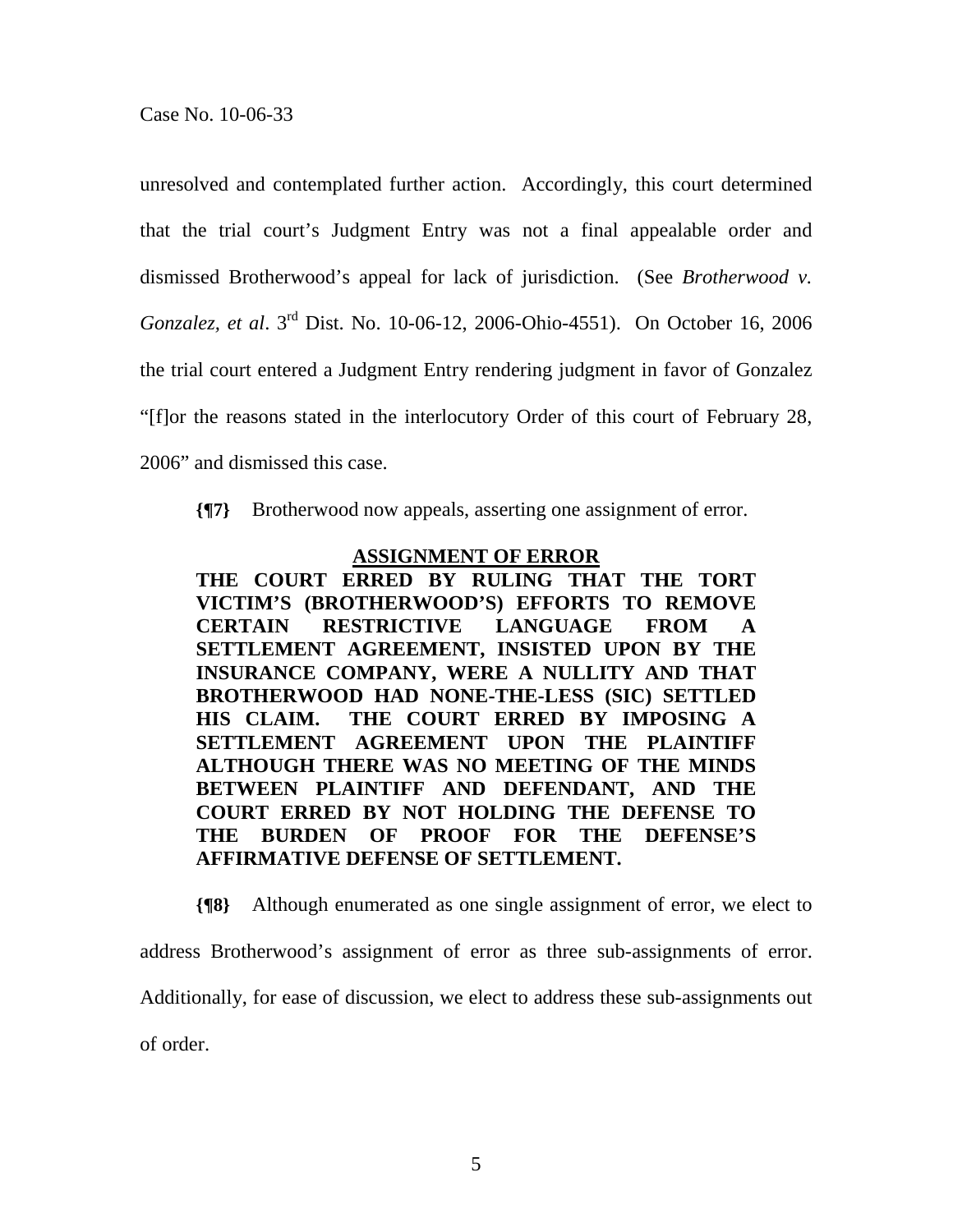unresolved and contemplated further action. Accordingly, this court determined that the trial court's Judgment Entry was not a final appealable order and dismissed Brotherwood's appeal for lack of jurisdiction. (See *Brotherwood v. Gonzalez, et al*. 3rd Dist. No. 10-06-12, 2006-Ohio-4551). On October 16, 2006 the trial court entered a Judgment Entry rendering judgment in favor of Gonzalez "[f]or the reasons stated in the interlocutory Order of this court of February 28, 2006" and dismissed this case.

**{¶7}** Brotherwood now appeals, asserting one assignment of error.

## **ASSIGNMENT OF ERROR**

**THE COURT ERRED BY RULING THAT THE TORT VICTIM'S (BROTHERWOOD'S) EFFORTS TO REMOVE CERTAIN RESTRICTIVE LANGUAGE FROM A SETTLEMENT AGREEMENT, INSISTED UPON BY THE INSURANCE COMPANY, WERE A NULLITY AND THAT BROTHERWOOD HAD NONE-THE-LESS (SIC) SETTLED HIS CLAIM. THE COURT ERRED BY IMPOSING A SETTLEMENT AGREEMENT UPON THE PLAINTIFF ALTHOUGH THERE WAS NO MEETING OF THE MINDS BETWEEN PLAINTIFF AND DEFENDANT, AND THE COURT ERRED BY NOT HOLDING THE DEFENSE TO THE BURDEN OF PROOF FOR THE DEFENSE'S AFFIRMATIVE DEFENSE OF SETTLEMENT.** 

**{¶8}** Although enumerated as one single assignment of error, we elect to

address Brotherwood's assignment of error as three sub-assignments of error.

Additionally, for ease of discussion, we elect to address these sub-assignments out

of order.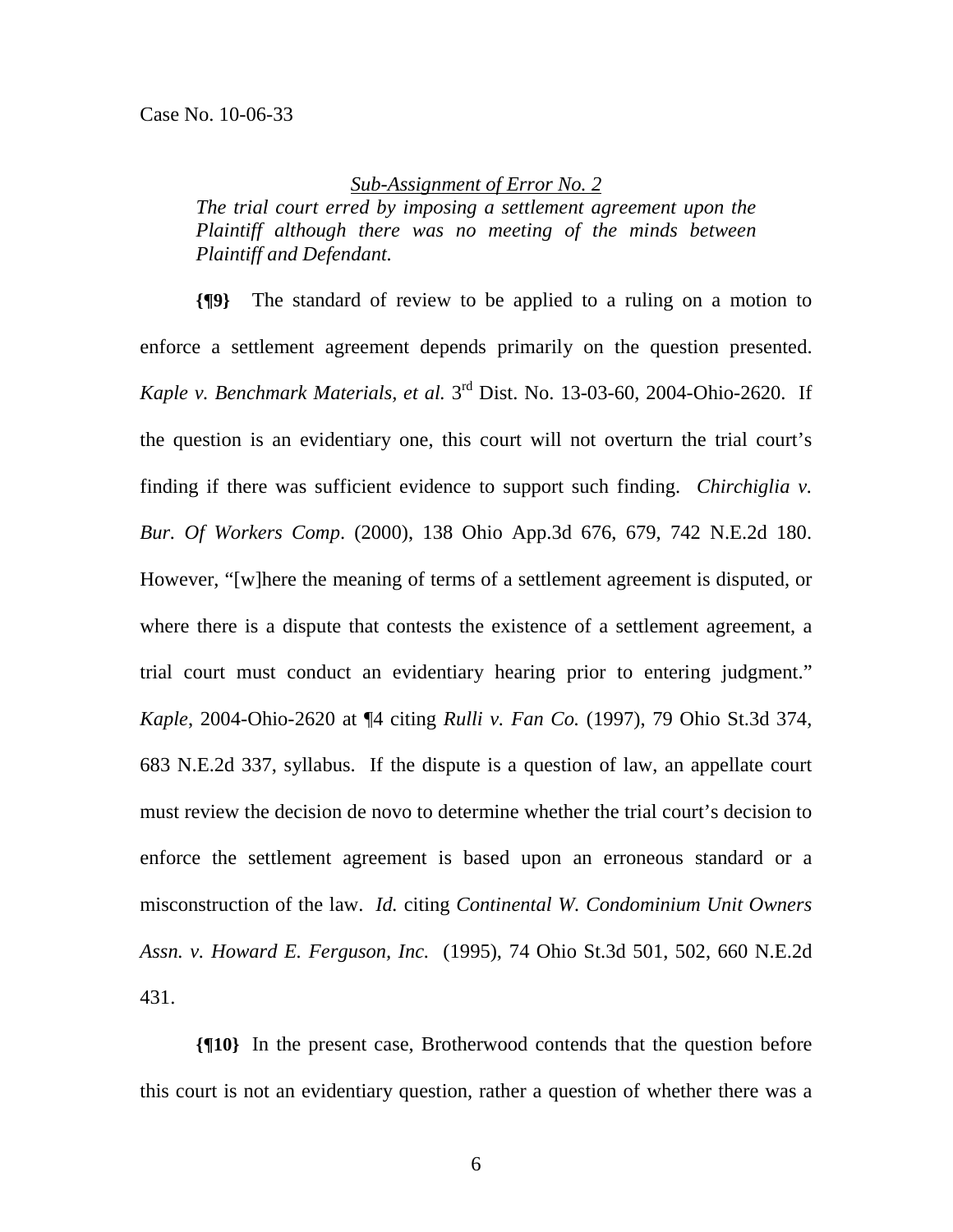### *Sub-Assignment of Error No. 2*

*The trial court erred by imposing a settlement agreement upon the Plaintiff although there was no meeting of the minds between Plaintiff and Defendant.* 

**{¶9}** The standard of review to be applied to a ruling on a motion to enforce a settlement agreement depends primarily on the question presented. *Kaple v. Benchmark Materials, et al.* 3rd Dist. No. 13-03-60, 2004-Ohio-2620. If the question is an evidentiary one, this court will not overturn the trial court's finding if there was sufficient evidence to support such finding. *Chirchiglia v. Bur. Of Workers Comp*. (2000), 138 Ohio App.3d 676, 679, 742 N.E.2d 180. However, "[w]here the meaning of terms of a settlement agreement is disputed, or where there is a dispute that contests the existence of a settlement agreement, a trial court must conduct an evidentiary hearing prior to entering judgment." *Kaple*, 2004-Ohio-2620 at ¶4 citing *Rulli v. Fan Co.* (1997), 79 Ohio St.3d 374, 683 N.E.2d 337, syllabus. If the dispute is a question of law, an appellate court must review the decision de novo to determine whether the trial court's decision to enforce the settlement agreement is based upon an erroneous standard or a misconstruction of the law. *Id.* citing *Continental W. Condominium Unit Owners Assn. v. Howard E. Ferguson, Inc.* (1995), 74 Ohio St.3d 501, 502, 660 N.E.2d 431.

**{¶10}** In the present case, Brotherwood contends that the question before this court is not an evidentiary question, rather a question of whether there was a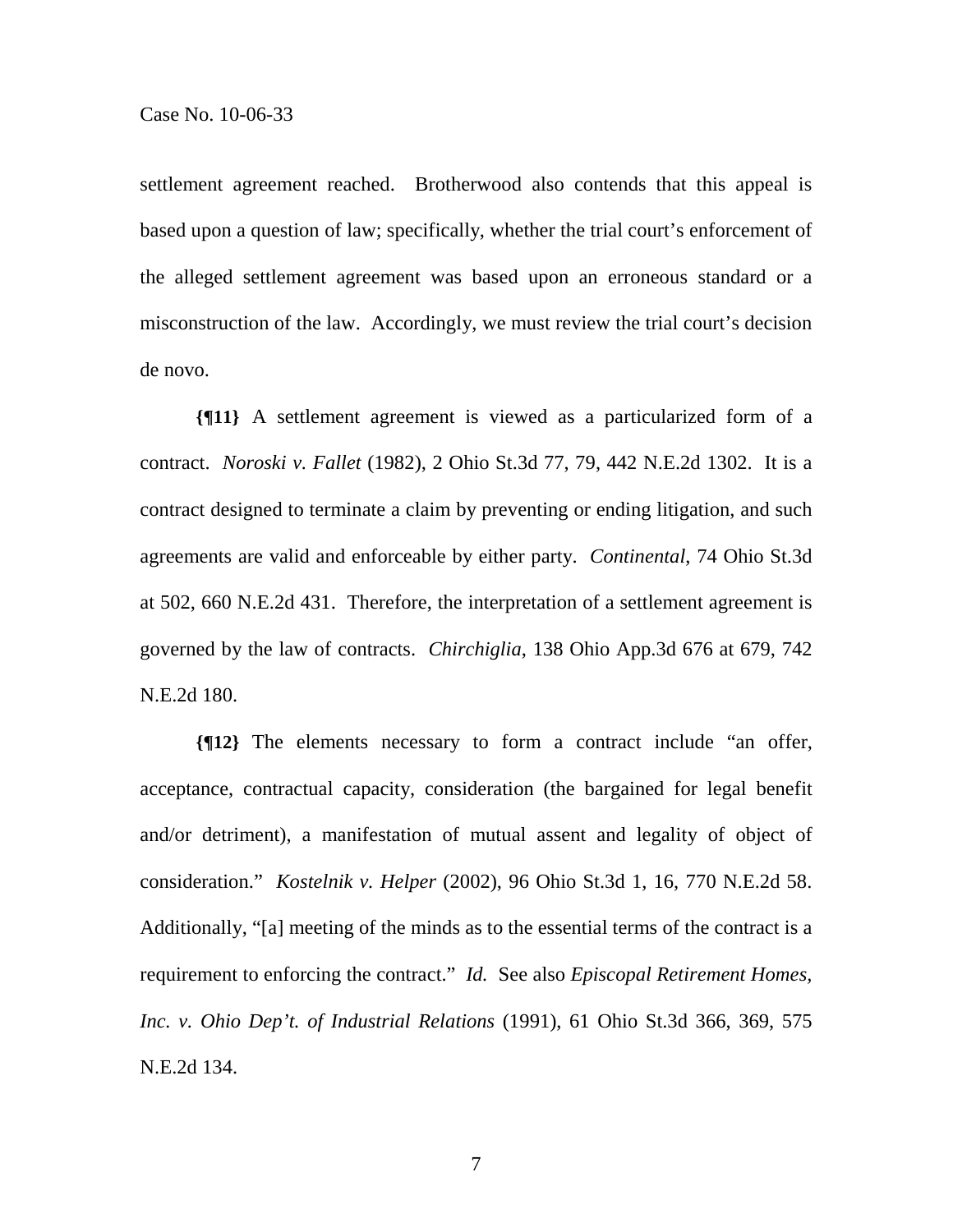settlement agreement reached. Brotherwood also contends that this appeal is based upon a question of law; specifically, whether the trial court's enforcement of the alleged settlement agreement was based upon an erroneous standard or a misconstruction of the law. Accordingly, we must review the trial court's decision de novo.

**{¶11}** A settlement agreement is viewed as a particularized form of a contract. *Noroski v. Fallet* (1982), 2 Ohio St.3d 77, 79, 442 N.E.2d 1302. It is a contract designed to terminate a claim by preventing or ending litigation, and such agreements are valid and enforceable by either party. *Continental*, 74 Ohio St.3d at 502, 660 N.E.2d 431. Therefore, the interpretation of a settlement agreement is governed by the law of contracts. *Chirchiglia*, 138 Ohio App.3d 676 at 679, 742 N.E.2d 180.

**{¶12}** The elements necessary to form a contract include "an offer, acceptance, contractual capacity, consideration (the bargained for legal benefit and/or detriment), a manifestation of mutual assent and legality of object of consideration." *Kostelnik v. Helper* (2002), 96 Ohio St.3d 1, 16, 770 N.E.2d 58. Additionally, "[a] meeting of the minds as to the essential terms of the contract is a requirement to enforcing the contract." *Id.* See also *Episcopal Retirement Homes, Inc. v. Ohio Dep't. of Industrial Relations* (1991), 61 Ohio St.3d 366, 369, 575 N.E.2d 134.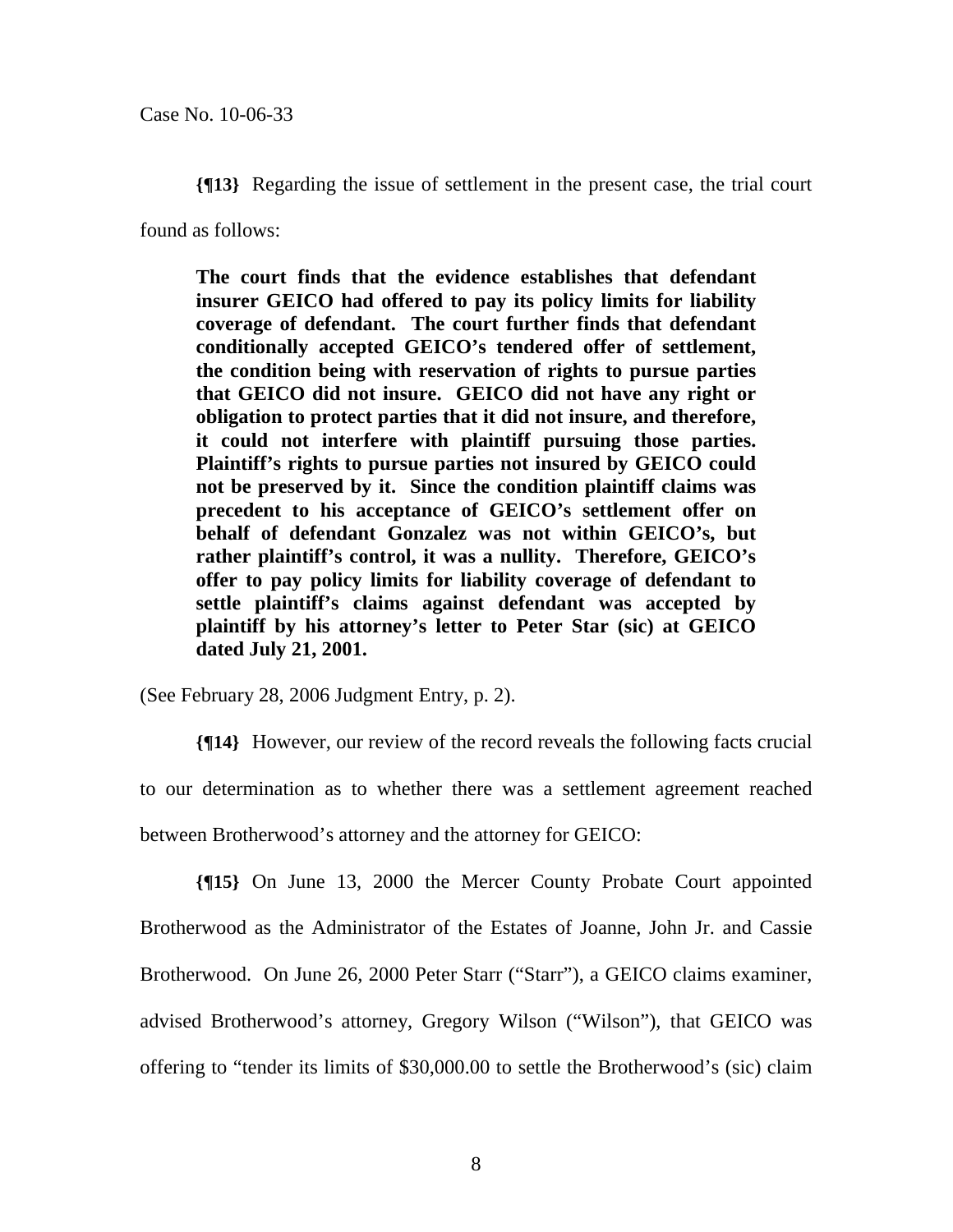**{¶13}** Regarding the issue of settlement in the present case, the trial court

found as follows:

**The court finds that the evidence establishes that defendant insurer GEICO had offered to pay its policy limits for liability coverage of defendant. The court further finds that defendant conditionally accepted GEICO's tendered offer of settlement, the condition being with reservation of rights to pursue parties that GEICO did not insure. GEICO did not have any right or obligation to protect parties that it did not insure, and therefore, it could not interfere with plaintiff pursuing those parties. Plaintiff's rights to pursue parties not insured by GEICO could not be preserved by it. Since the condition plaintiff claims was precedent to his acceptance of GEICO's settlement offer on behalf of defendant Gonzalez was not within GEICO's, but rather plaintiff's control, it was a nullity. Therefore, GEICO's offer to pay policy limits for liability coverage of defendant to settle plaintiff's claims against defendant was accepted by plaintiff by his attorney's letter to Peter Star (sic) at GEICO dated July 21, 2001.** 

(See February 28, 2006 Judgment Entry, p. 2).

**{¶14}** However, our review of the record reveals the following facts crucial to our determination as to whether there was a settlement agreement reached between Brotherwood's attorney and the attorney for GEICO:

**{¶15}** On June 13, 2000 the Mercer County Probate Court appointed Brotherwood as the Administrator of the Estates of Joanne, John Jr. and Cassie Brotherwood. On June 26, 2000 Peter Starr ("Starr"), a GEICO claims examiner, advised Brotherwood's attorney, Gregory Wilson ("Wilson"), that GEICO was offering to "tender its limits of \$30,000.00 to settle the Brotherwood's (sic) claim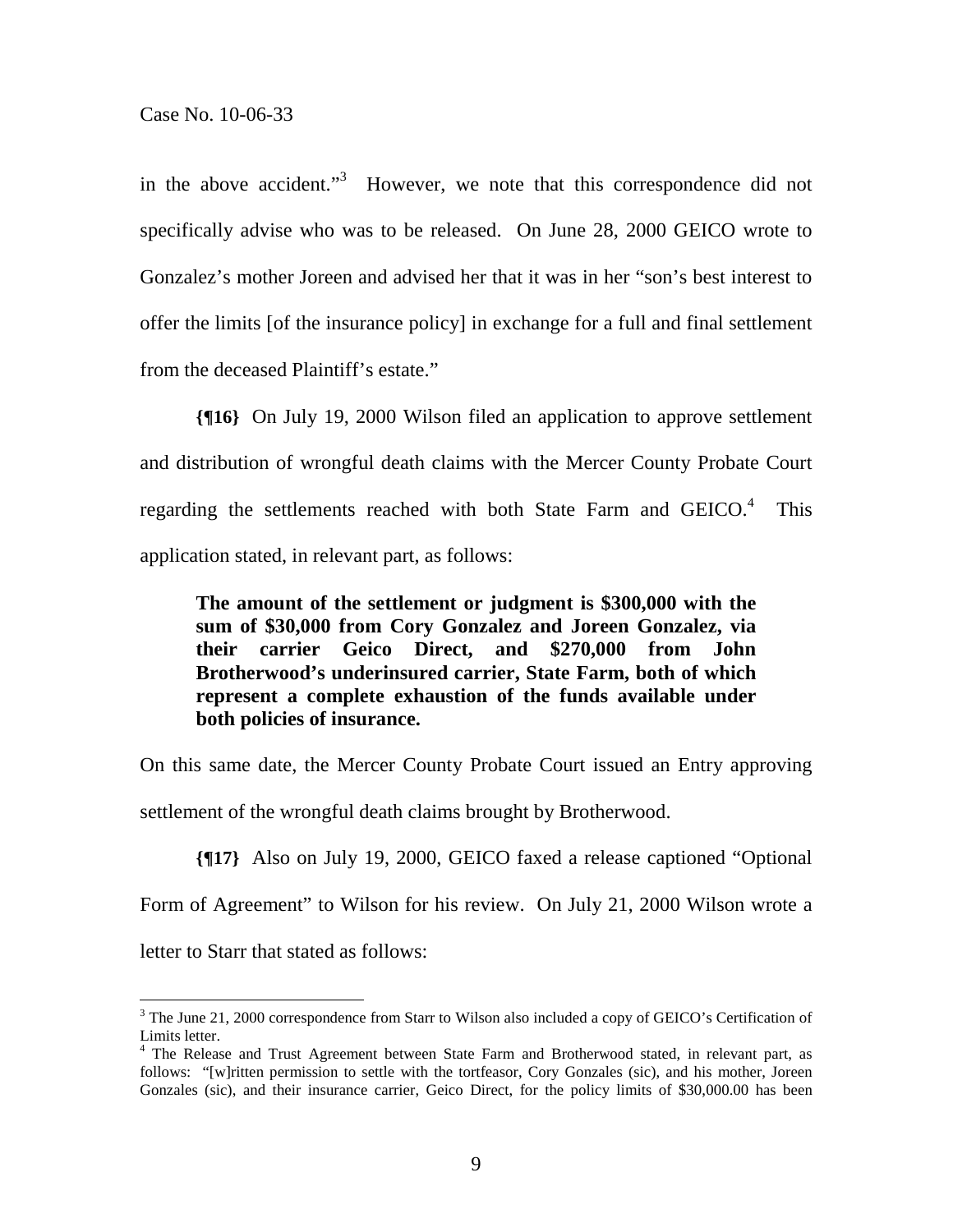$\overline{a}$ 

in the above accident."<sup>3</sup> However, we note that this correspondence did not specifically advise who was to be released. On June 28, 2000 GEICO wrote to Gonzalez's mother Joreen and advised her that it was in her "son's best interest to offer the limits [of the insurance policy] in exchange for a full and final settlement from the deceased Plaintiff's estate."

**{¶16}** On July 19, 2000 Wilson filed an application to approve settlement and distribution of wrongful death claims with the Mercer County Probate Court regarding the settlements reached with both State Farm and  $GEICO.<sup>4</sup>$  This application stated, in relevant part, as follows:

**The amount of the settlement or judgment is \$300,000 with the sum of \$30,000 from Cory Gonzalez and Joreen Gonzalez, via their carrier Geico Direct, and \$270,000 from John Brotherwood's underinsured carrier, State Farm, both of which represent a complete exhaustion of the funds available under both policies of insurance.** 

On this same date, the Mercer County Probate Court issued an Entry approving settlement of the wrongful death claims brought by Brotherwood.

**{¶17}** Also on July 19, 2000, GEICO faxed a release captioned "Optional Form of Agreement" to Wilson for his review. On July 21, 2000 Wilson wrote a letter to Starr that stated as follows:

<sup>&</sup>lt;sup>3</sup> The June 21, 2000 correspondence from Starr to Wilson also included a copy of GEICO's Certification of Limits letter.

<sup>&</sup>lt;sup>4</sup> The Release and Trust Agreement between State Farm and Brotherwood stated, in relevant part, as follows: "[w]ritten permission to settle with the tortfeasor, Cory Gonzales (sic), and his mother, Joreen Gonzales (sic), and their insurance carrier, Geico Direct, for the policy limits of \$30,000.00 has been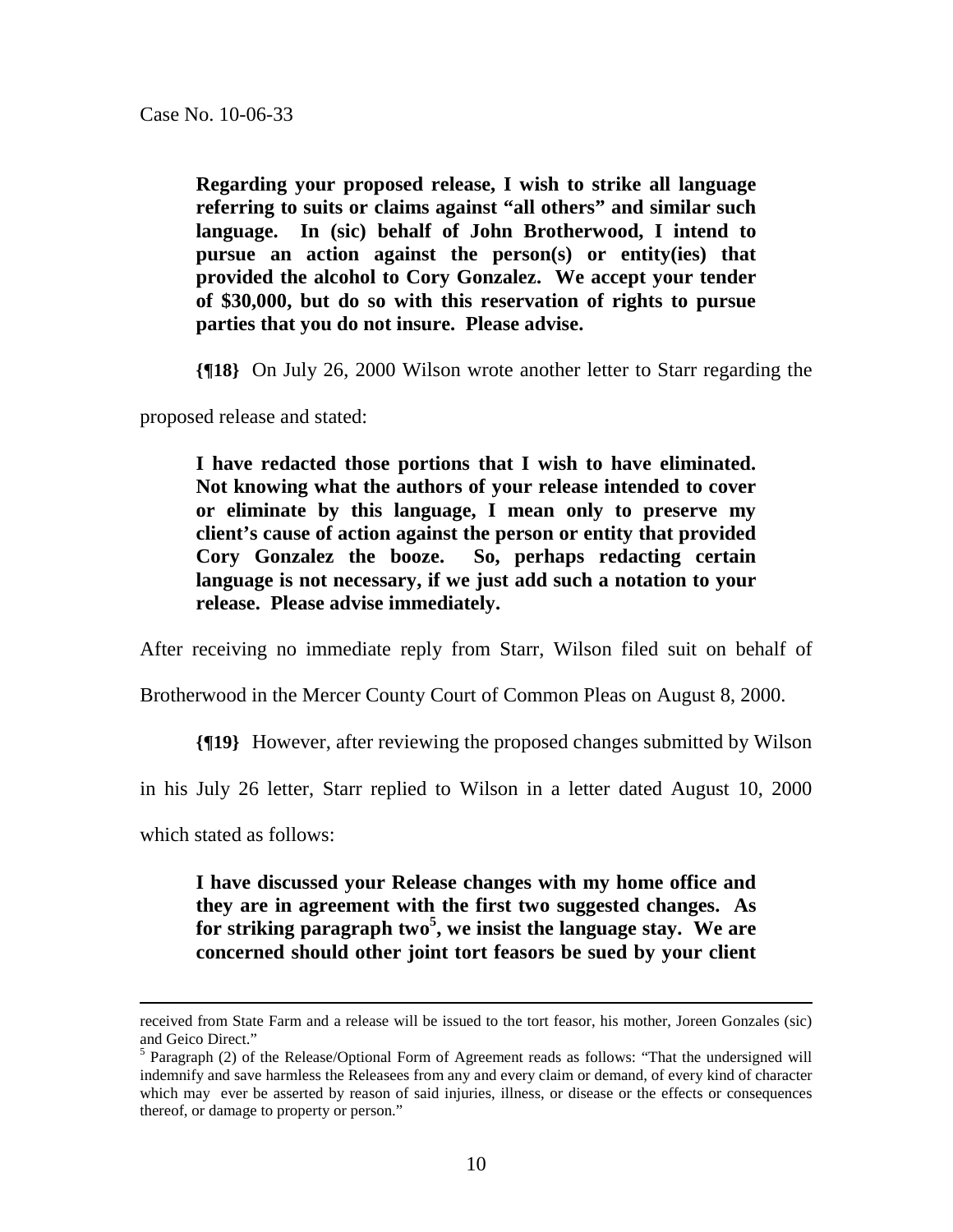**Regarding your proposed release, I wish to strike all language referring to suits or claims against "all others" and similar such language. In (sic) behalf of John Brotherwood, I intend to pursue an action against the person(s) or entity(ies) that provided the alcohol to Cory Gonzalez. We accept your tender of \$30,000, but do so with this reservation of rights to pursue parties that you do not insure. Please advise.** 

**{¶18}** On July 26, 2000 Wilson wrote another letter to Starr regarding the

proposed release and stated:

**I have redacted those portions that I wish to have eliminated. Not knowing what the authors of your release intended to cover or eliminate by this language, I mean only to preserve my client's cause of action against the person or entity that provided Cory Gonzalez the booze. So, perhaps redacting certain language is not necessary, if we just add such a notation to your release. Please advise immediately.** 

After receiving no immediate reply from Starr, Wilson filed suit on behalf of

Brotherwood in the Mercer County Court of Common Pleas on August 8, 2000.

**{¶19}** However, after reviewing the proposed changes submitted by Wilson

in his July 26 letter, Starr replied to Wilson in a letter dated August 10, 2000

which stated as follows:

**I have discussed your Release changes with my home office and they are in agreement with the first two suggested changes. As for striking paragraph two<sup>5</sup> , we insist the language stay. We are concerned should other joint tort feasors be sued by your client** 

received from State Farm and a release will be issued to the tort feasor, his mother, Joreen Gonzales (sic) and Geico Direct."

<sup>&</sup>lt;sup>5</sup> Paragraph (2) of the Release/Optional Form of Agreement reads as follows: "That the undersigned will indemnify and save harmless the Releasees from any and every claim or demand, of every kind of character which may ever be asserted by reason of said injuries, illness, or disease or the effects or consequences thereof, or damage to property or person."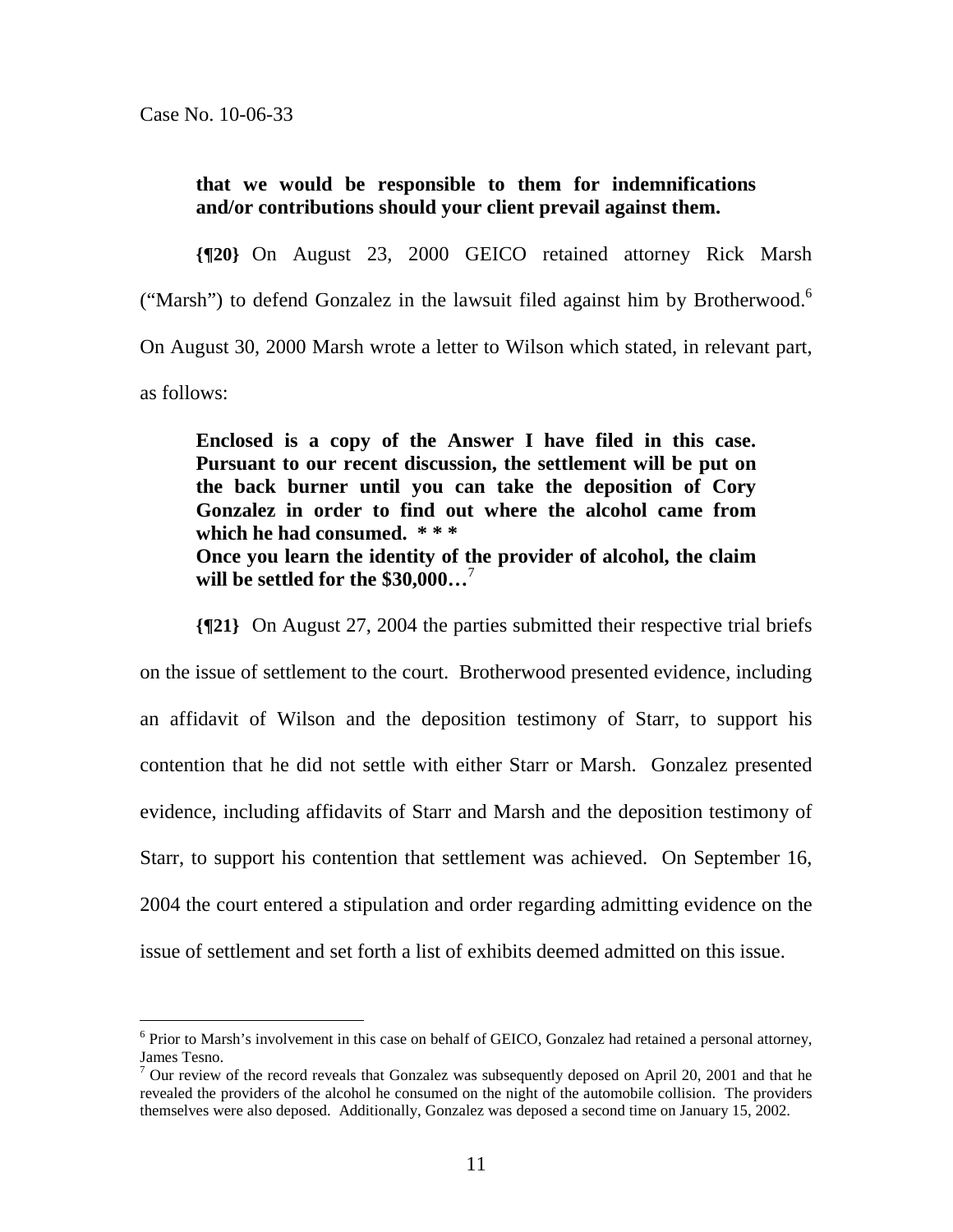$\overline{a}$ 

**that we would be responsible to them for indemnifications and/or contributions should your client prevail against them.** 

**{¶20}** On August 23, 2000 GEICO retained attorney Rick Marsh ("Marsh") to defend Gonzalez in the lawsuit filed against him by Brotherwood.<sup>6</sup> On August 30, 2000 Marsh wrote a letter to Wilson which stated, in relevant part, as follows:

**Enclosed is a copy of the Answer I have filed in this case. Pursuant to our recent discussion, the settlement will be put on the back burner until you can take the deposition of Cory Gonzalez in order to find out where the alcohol came from which he had consumed. \* \* \* Once you learn the identity of the provider of alcohol, the claim will be settled for the \$30,000…**<sup>7</sup>

**{¶21}** On August 27, 2004 the parties submitted their respective trial briefs on the issue of settlement to the court. Brotherwood presented evidence, including an affidavit of Wilson and the deposition testimony of Starr, to support his contention that he did not settle with either Starr or Marsh. Gonzalez presented evidence, including affidavits of Starr and Marsh and the deposition testimony of Starr, to support his contention that settlement was achieved. On September 16, 2004 the court entered a stipulation and order regarding admitting evidence on the issue of settlement and set forth a list of exhibits deemed admitted on this issue.

 $6$  Prior to Marsh's involvement in this case on behalf of GEICO, Gonzalez had retained a personal attorney, James Tesno.

 $7$  Our review of the record reveals that Gonzalez was subsequently deposed on April 20, 2001 and that he revealed the providers of the alcohol he consumed on the night of the automobile collision. The providers themselves were also deposed. Additionally, Gonzalez was deposed a second time on January 15, 2002.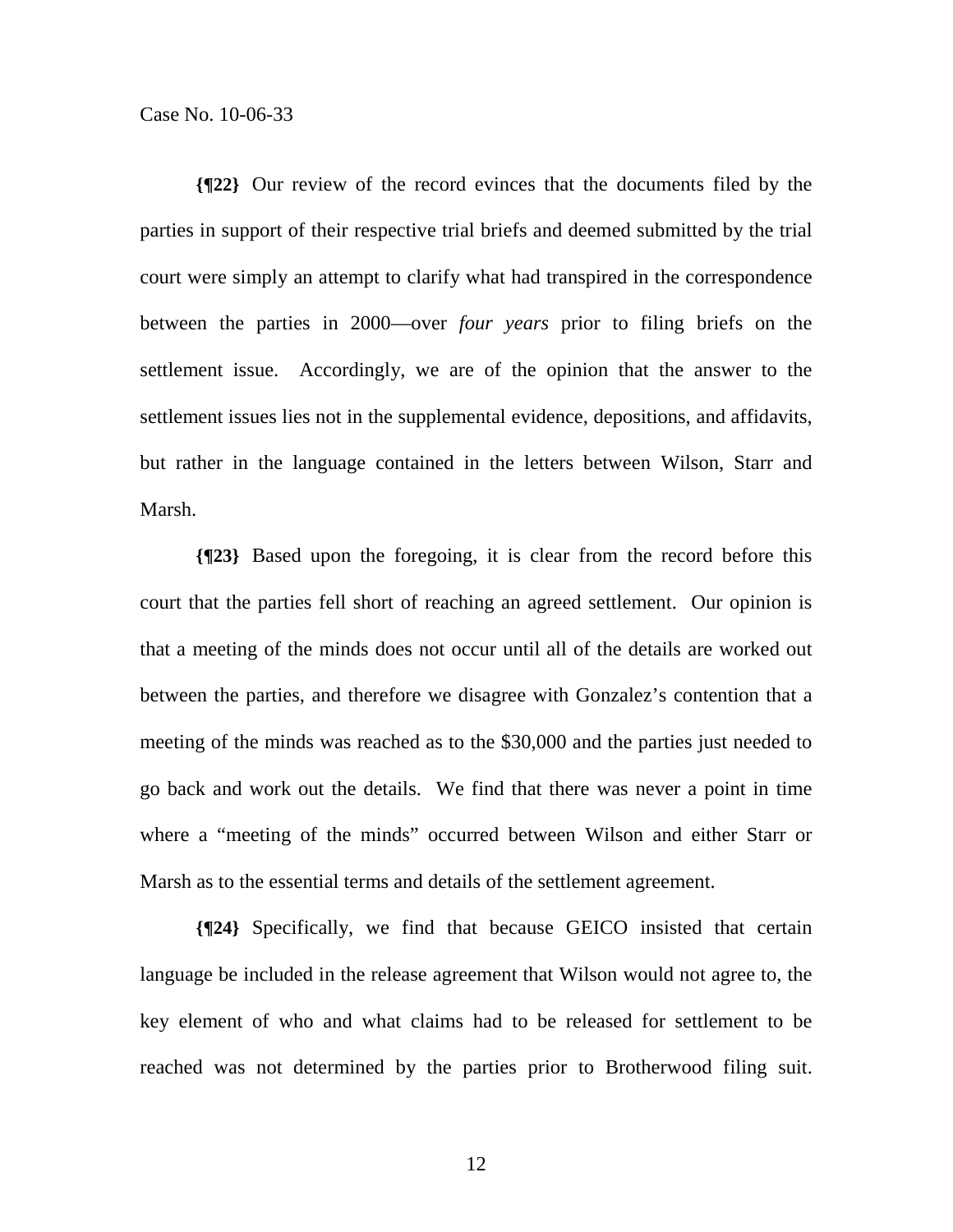**{¶22}** Our review of the record evinces that the documents filed by the parties in support of their respective trial briefs and deemed submitted by the trial court were simply an attempt to clarify what had transpired in the correspondence between the parties in 2000—over *four years* prior to filing briefs on the settlement issue. Accordingly, we are of the opinion that the answer to the settlement issues lies not in the supplemental evidence, depositions, and affidavits, but rather in the language contained in the letters between Wilson, Starr and Marsh.

**{¶23}** Based upon the foregoing, it is clear from the record before this court that the parties fell short of reaching an agreed settlement. Our opinion is that a meeting of the minds does not occur until all of the details are worked out between the parties, and therefore we disagree with Gonzalez's contention that a meeting of the minds was reached as to the \$30,000 and the parties just needed to go back and work out the details. We find that there was never a point in time where a "meeting of the minds" occurred between Wilson and either Starr or Marsh as to the essential terms and details of the settlement agreement.

**{¶24}** Specifically, we find that because GEICO insisted that certain language be included in the release agreement that Wilson would not agree to, the key element of who and what claims had to be released for settlement to be reached was not determined by the parties prior to Brotherwood filing suit.

12